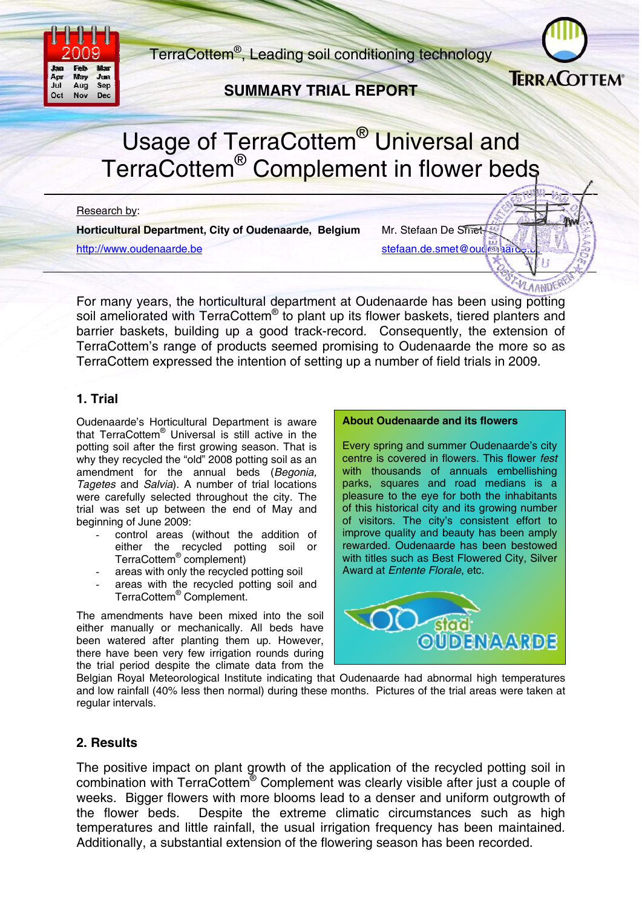

TerraCottem®, Leading soil conditioning technology

## **SUMMARY TRIAL REPORT**



**LAANDE!** 

# Usage of TerraCottem<sup>®</sup> Universal and TerraCottem<sup>®</sup> Complement in flower beds

Research by:

**Horticultural Department, City of Oudenaarde, Belgium** Mr. Stefaan De Smet http://www.oudenaarde.be stefaan.de.smet@oudenaarde.be

For many years, the horticultural department at Oudenaarde has been using potting soil ameliorated with TerraCottem<sup>®</sup> to plant up its flower baskets, tiered planters and barrier baskets, building up a good track-record. Consequently, the extension of TerraCottem's range of products seemed promising to Oudenaarde the more so as TerraCottem expressed the intention of setting up a number of field trials in 2009.

## **1. Trial**

Oudenaarde's Horticultural Department is aware that TerraCottem® Universal is still active in the potting soil after the first growing season. That is why they recycled the "old" 2008 potting soil as an amendment for the annual beds (*Begonia, Tagetes* and *Salvia*). A number of trial locations were carefully selected throughout the city. The trial was set up between the end of May and beginning of June 2009:

- control areas (without the addition of either the recycled potting soil or TerraCottem® complement)
- areas with only the recycled potting soil
- areas with the recycled potting soil and TerraCottem® Complement.

The amendments have been mixed into the soil either manually or mechanically. All beds have been watered after planting them up. However, there have been very few irrigation rounds during the trial period despite the climate data from the

#### **About Oudenaarde and its flowers**

Every spring and summer Oudenaarde's city centre is covered in flowers. This flower *fest*  with thousands of annuals embellishing parks, squares and road medians is a pleasure to the eye for both the inhabitants of this historical city and its growing number of visitors. The city's consistent effort to improve quality and beauty has been amply rewarded. Oudenaarde has been bestowed with titles such as Best Flowered City, Silver Award at *Entente Florale*, etc.



Belgian Royal Meteorological Institute indicating that Oudenaarde had abnormal high temperatures and low rainfall (40% less then normal) during these months. Pictures of the trial areas were taken at regular intervals.

## **2. Results**

The positive impact on plant growth of the application of the recycled potting soil in combination with TerraCottem® Complement was clearly visible after just a couple of weeks. Bigger flowers with more blooms lead to a denser and uniform outgrowth of the flower beds. Despite the extreme climatic circumstances such as high temperatures and little rainfall, the usual irrigation frequency has been maintained. Additionally, a substantial extension of the flowering season has been recorded.